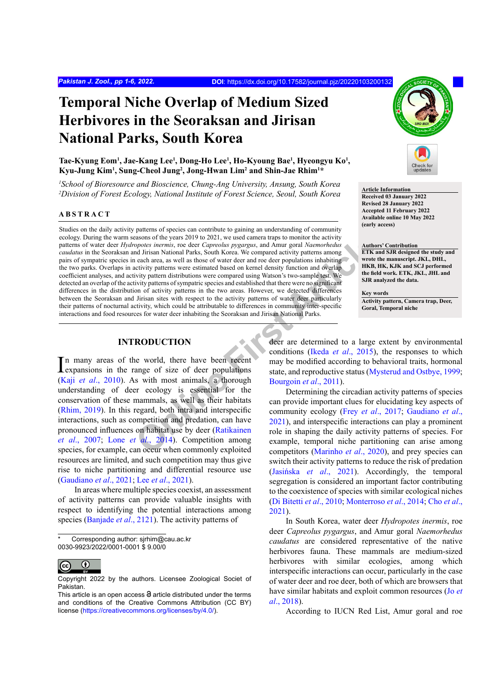# **Temporal Niche Overlap of Medium Sized Herbivores in the Seoraksan and Jirisan National Parks, South Korea**

### Tae-Kyung Eom<sup>1</sup>, Jae-Kang Lee<sup>1</sup>, Dong-Ho Lee<sup>1</sup>, Ho-Kyoung Bae<sup>1</sup>, Hyeongyu Ko<sup>1</sup>, **Kyu-Jung Kim1 , Sung-Cheol Jung2 , Jong-Hwan Lim2 and Shin-Jae Rhim1 \***

*1 School of Bioresource and Bioscience, Chung-Ang University, Ansung, South Korea* <sup>2</sup> *Division of Forest Ecology, National Institute of Forest Science, Seoul, South Korea* **Article Information**<br><sup>2</sup> *Division of Forest Ecology, National Institute of Forest Science, Seoul, South Korea* **Received 03 Janua** 

#### **ABSTRACT**

**EXERUATION**<br>
States and the vear 2019 to 2021, we used camera traps to monitor the activity<br>
or the state of the capredus pygagus, and Amur goral Naemorhedus<br>
of dirisan National Parks, South Korea. We compared activity p Studies on the daily activity patterns of species can contribute to gaining an understanding of community ecology. During the warm seasons of the years 2019 to 2021, we used camera traps to monitor the activity patterns of water deer *Hydropotes inermis*, roe deer *Capreolus pygargus*, and Amur goral *Naemorhedus caudatus* in the Seoraksan and Jirisan National Parks, South Korea. We compared activity patterns among pairs of sympatric species in each area, as well as those of water deer and roe deer populations inhabiting the two parks. Overlaps in activity patterns were estimated based on kernel density function and overlap coefficient analyses, and activity pattern distributions were compared using Watson's two-sample test. We detected an overlap of the activity patterns of sympatric species and established that there were no significant differences in the distribution of activity patterns in the two areas. However, we detected differences between the Seoraksan and Jirisan sites with respect to the activity patterns of water deer particularly their patterns of nocturnal activity, which could be attributable to differences in community inter-specific interactions and food resources for water deer inhabiting the Seoraksan and Jirisan National Parks.

## **INTRODUCTION**

In many areas of the world, there have been recent expansions in the range of size of deer populations expansions in the range of size of deer populations (Kaji *et al*[., 2010](#page-5-0)). As with most animals, a thorough understanding of deer ecology is essential for the conservation of these mammals, as well as their habitats [\(Rhim, 2019](#page-5-1)). In this regard, both intra and interspecific interactions, such as competition and predation, can have pronounced influences on habitat use by deer (Ratikainen *et al*[., 2007](#page-5-2); Lone *et al*., 2014). Competition among species, for example, can occur when commonly exploited resources are limited, and such competition may thus give rise to niche partitioning and differential resource use [\(Gaudiano](#page-4-0) *et al*., 2021; Lee *et al*[., 2021](#page-5-4)).

In areas where multiple species coexist, an assessment of activity patterns can provide valuable insights with respect to identifying the potential interactions among species [\(Banjade](#page-4-1) *et al*., 2121). The activity patterns of



**Received 03 January 2022 Revised 28 January 2022 Accepted 11 February 2022 Available online 10 May 2022 (early access)**

**Authors' Contribution ETK and SJR designed the study and wrote the manuscript. JKL, DHL, HKB, HK, KJK and SCJ performed the field work. ETK, JKL, JHL and SJR analyzed the data.**

**Key words Activity pattern, Camera trap, Deer, Goral, Temporal niche**

deer are determined to a large extent by environmental conditions (Ikeda *et al*., 2015), the responses to which may be modified according to behavioral traits, hormonal state, and reproductive status ([Mysterud and Ostbye, 1999;](#page-5-5) Bourgoin *et al*., 2011).

Determining the circadian activity patterns of species can provide important clues for elucidating key aspects of community ecology (Frey *et al*., 2017; [Gaudiano](#page-4-0) *et al*., 2021), and interspecific interactions can play a prominent role in shaping the daily activity patterns of species. For example, temporal niche partitioning can arise among competitors (Marinho *et al*., 2020), and prey species can switch their activity patterns to reduce the risk of predation (Jasińska *et al*., 2021). Accordingly, the temporal segregation is considered an important factor contributing to the coexistence of species with similar ecological niches [\(Di Bitetti](#page-4-5) *et al*., 2010; [Monterroso](#page-5-7) *et al*., 2014; [Cho](#page-4-6) *et al*., [2021\)](#page-4-6).

In South Korea, water deer *Hydropotes inermis*, roe deer *Capreolus pygargus*, and Amur goral *Naemorhedus caudatus* are considered representative of the native herbivores fauna. These mammals are medium-sized herbivores with similar ecologies, among which interspecific interactions can occur, particularly in the case of water deer and roe deer, both of which are browsers that have similar habitats and exploit common resources ([Jo](#page-5-8) *et al*[., 2018](#page-5-8)).

According to IUCN Red List, Amur goral and roe

Corresponding author: sjrhim@cau.ac.kr 0030-9923/2022/0001-0001 \$ 9.00/0

 $\bigcirc$ (cc

Copyright 2022 by the authors. Licensee Zoological Societ of Pakistan.

This article is an open access  $\Theta$  article distributed under the terms and conditions of the Creative Commons Attribution (CC BY) license (https://creativecommons.org/licenses/by/4.0/).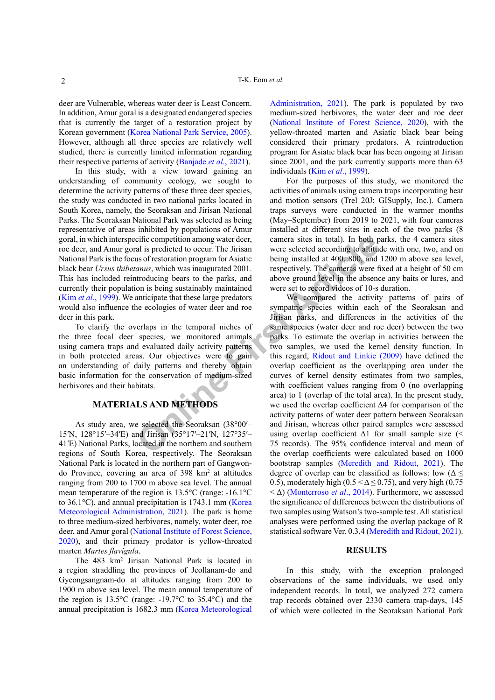deer are Vulnerable, whereas water deer is Least Concern. In addition, Amur goral is a designated endangered species that is currently the target of a restoration project by Korean government ([Korea National Park Service, 2005](#page-5-9)). However, although all three species are relatively well studied, there is currently limited information regarding their respective patterns of activity [\(Banjade](#page-4-1) *et al*., 2021).

In this study, with a view toward gaining an understanding of community ecology, we sought to determine the activity patterns of these three deer species, the study was conducted in two national parks located in South Korea, namely, the Seoraksan and Jirisan National Parks. The Seoraksan National Park was selected as being representative of areas inhibited by populations of Amur goral, in which interspecific competition among water deer, roe deer, and Amur goral is predicted to occur. The Jirisan National Park is the focus of restoration program for Asiatic black bear *Ursus thibetanus*, which was inaugurated 2001. This has included reintroducing bears to the parks, and currently their population is being sustainably maintained (Kim *et al*., 1999). We anticipate that these large predators would also influence the ecologies of water deer and roe deer in this park.

To clarify the overlaps in the temporal niches of the three focal deer species, we monitored animals. using camera traps and evaluated daily activity patterns in both protected areas. Our objectives were to gain an understanding of daily patterns and thereby obtain basic information for the conservation of medium-sized herbivores and their habitats.

# **MATERIALS AND METHODS**

As study area, we selected the Seoraksan (38°00′– 15′N, 128°15′–34′E) and Jirisan (35°17′–21′N, 127°35′– 41′E) National Parks, located in the northern and southern regions of South Korea, respectively. The Seoraksan National Park is located in the northern part of Gangwondo Province, covering an area of 398 km<sup>2</sup> at altitudes ranging from 200 to 1700 m above sea level. The annual mean temperature of the region is 13.5°C (range: -16.1°C to 36.1°C), and annual precipitation is 1743.1 mm ([Korea](#page-5-10) [Meteorological Administration, 2021](#page-5-10)). The park is home to three medium-sized herbivores, namely, water deer, roe deer, and Amur goral [\(National Institute of Forest Science,](#page-5-11) [2020](#page-5-11)), and their primary predator is yellow-throated marten *Martes flavigula*.

The 483 km2 Jirisan National Park is located in a region straddling the provinces of Jeollanam-do and Gyeongsangnam-do at altitudes ranging from 200 to 1900 m above sea level. The mean annual temperature of the region is 13.5°C (range: -19.7°C to 35.4°C) and the annual precipitation is 1682.3 mm ([Korea Meteorological](#page-5-10)

[Administration, 2021\)](#page-5-10). The park is populated by two medium-sized herbivores, the water deer and roe deer [\(National Institute of Forest Science, 2020\)](#page-5-11), with the yellow-throated marten and Asiatic black bear being considered their primary predators. A reintroduction program for Asiatic black bear has been ongoing at Jirisan since 2001, and the park currently supports more than 63 individuals (Kim *et al*., 1999).

For the purposes of this study, we monitored the activities of animals using camera traps incorporating heat and motion sensors (Trel 20J; GISupply, Inc.). Camera traps surveys were conducted in the warmer months (May–September) from 2019 to 2021, with four cameras installed at different sites in each of the two parks (8 camera sites in total). In both parks, the 4 camera sites were selected according to altitude with one, two, and on being installed at 400, 800, and 1200 m above sea level, respectively. The cameras were fixed at a height of 50 cm above ground level in the absence any baits or lures, and were set to record videos of 10-s duration.

cific competition among water deer,<br>
al is predicted to occur. The Jirisan<br>
sus of restoration program for Asiatic being installed at 400, 800, and<br>
summar, which was inaugurated 2001. respectively. The cameras were first We compared the activity patterns of pairs of sympatric species within each of the Seoraksan and Jirisan parks, and differences in the activities of the same species (water deer and roe deer) between the two parks. To estimate the overlap in activities between the two samples, we used the kernel density function. In this regard, [Ridout and Linkie \(2009\)](#page-5-12) have defined the overlap coefficient as the overlapping area under the curves of kernel density estimates from two samples, with coefficient values ranging from 0 (no overlapping area) to 1 (overlap of the total area). In the present study, we used the overlap coefficient Δ4 for comparison of the activity patterns of water deer pattern between Seoraksan and Jirisan, whereas other paired samples were assessed using overlap coefficient  $\Delta 1$  for small sample size (< 75 records). The 95% confidence interval and mean of the overlap coefficients were calculated based on 1000 bootstrap samples [\(Meredith and Ridout, 2021\)](#page-5-13). The degree of overlap can be classified as follows: low ( $\Delta \leq$ 0.5), moderately high ( $0.5 < \Delta \le 0.75$ ), and very high (0.75) < Δ) ([Monterroso](#page-5-7) *et al*., 2014). Furthermore, we assessed the significance of differences between the distributions of two samples using Watson's two-sample test. All statistical analyses were performed using the overlap package of R statistical software Ver. 0.3.4 [\(Meredith and Ridout, 2021](#page-5-13)).

#### **RESULTS**

In this study, with the exception prolonged observations of the same individuals, we used only independent records. In total, we analyzed 272 camera trap records obtained over 2330 camera trap-days, 145 of which were collected in the Seoraksan National Park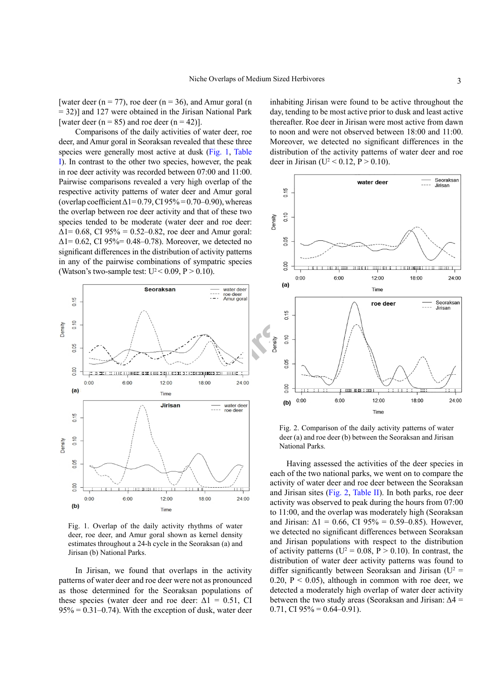[water deer ( $n = 77$ ), roe deer ( $n = 36$ ), and Amur goral (n = 32)] and 127 were obtained in the Jirisan National Park [water deer ( $n = 85$ ) and roe deer ( $n = 42$ )].

Comparisons of the daily activities of water deer, roe deer, and Amur goral in Seoraksan revealed that these three species were generally most active at dusk [\(Fig. 1](#page-2-0), Table I). In contrast to the other two species, however, the peak in roe deer activity was recorded between 07:00 and 11:00. Pairwise comparisons revealed a very high overlap of the respective activity patterns of water deer and Amur goral (overlap coefficient  $\Delta$ 1=0.79, CI 95% = 0.70–0.90), whereas the overlap between roe deer activity and that of these two species tended to be moderate (water deer and roe deer:  $\Delta$ 1= 0.68, CI 95% = 0.52–0.82, roe deer and Amur goral:  $\Delta$ 1 = 0.62, CI 95% = 0.48 – 0.78). Moreover, we detected no significant differences in the distribution of activity patterns in any of the pairwise combinations of sympatric species (Watson's two-sample test:  $U^2 < 0.09$ ,  $P > 0.10$ ).



<span id="page-2-0"></span>Fig. 1. Overlap of the daily activity rhythms of water deer, roe deer, and Amur goral shown as kernel density estimates throughout a 24-h cycle in the Seoraksan (a) and Jirisan (b) National Parks.

In Jirisan, we found that overlaps in the activity patterns of water deer and roe deer were not as pronounced as those determined for the Seoraksan populations of these species (water deer and roe deer:  $\Delta 1 = 0.51$ , CI  $95\% = 0.31 - 0.74$ . With the exception of dusk, water deer

inhabiting Jirisan were found to be active throughout the day, tending to be most active prior to dusk and least active thereafter. Roe deer in Jirisan were most active from dawn to noon and were not observed between 18:00 and 11:00. Moreover, we detected no significant differences in the distribution of the activity patterns of water deer and roe deer in Jirisan (U<sup>2</sup> < 0.12, P > 0.10).



<span id="page-2-1"></span>Fig. 2. Comparison of the daily activity patterns of water deer (a) and roe deer (b) between the Seoraksan and Jirisan National Parks.

Having assessed the activities of the deer species in each of the two national parks, we went on to compare the activity of water deer and roe deer between the Seoraksan and Jirisan sites [\(Fig. 2](#page-2-1), Table II). In both parks, roe deer activity was observed to peak during the hours from 07:00 to 11:00, and the overlap was moderately high (Seoraksan and Jirisan:  $\Delta 1 = 0.66$ , CI 95% = 0.59–0.85). However, we detected no significant differences between Seoraksan and Jirisan populations with respect to the distribution of activity patterns ( $U^2 = 0.08$ ,  $P > 0.10$ ). In contrast, the distribution of water deer activity patterns was found to differ significantly between Seoraksan and Jirisan ( $U^2$  = 0.20,  $P < 0.05$ ), although in common with roe deer, we detected a moderately high overlap of water deer activity between the two study areas (Seoraksan and Jirisan:  $\Delta 4$  = 0.71, CI  $95\% = 0.64 - 0.91$ .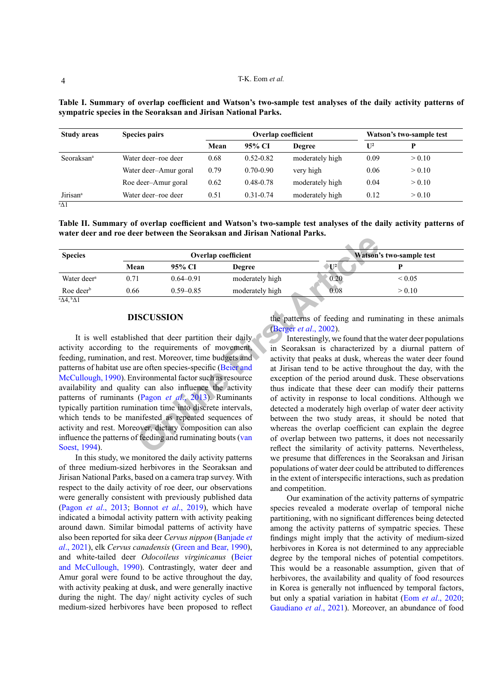| <b>Study areas</b>     | <b>Species pairs</b>  | <b>Overlap coefficient</b> |               |                 | Watson's two-sample test |        |
|------------------------|-----------------------|----------------------------|---------------|-----------------|--------------------------|--------|
|                        |                       | Mean                       | 95% CI        | <b>Degree</b>   | $\mathbf{U}^2$           |        |
| Seoraksan <sup>a</sup> | Water deer-roe deer   | 0.68                       | $0.52 - 0.82$ | moderately high | 0.09                     | > 0.10 |
|                        | Water deer-Amur goral | 0.79                       | $0.70 - 0.90$ | very high       | 0.06                     | > 0.10 |
|                        | Roe deer-Amur goral   | 0.62                       | $0.48 - 0.78$ | moderately high | 0.04                     | > 0.10 |
| Jirisan <sup>a</sup>   | Water deer-roe deer   | 0.51                       | $0.31 - 0.74$ | moderately high | 0.12                     | > 0.10 |

**Table I. Summary of overlap coefficient and Watson's two-sample test analyses of the daily activity patterns of sympatric species in the Seoraksan and Jirisan National Parks.**

a Δ1

**Table II. Summary of overlap coefficient and Watson's two-sample test analyses of the daily activity patterns of water deer and roe deer between the Seoraksan and Jirisan National Parks.**

| <b>Species</b>          |      |               | <b>Overlap coefficient</b> | Watson's two-sample test |             |  |
|-------------------------|------|---------------|----------------------------|--------------------------|-------------|--|
|                         | Mean | 95% CI        | <b>Degree</b>              | $\mathbf{U}^2$           |             |  |
| Water deer <sup>a</sup> | 0.71 | $0.64 - 0.91$ | moderately high            | 0.20                     | ${}_{0.05}$ |  |
| Roe deer $\mathfrak b$  | 0.66 | $0.59 - 0.85$ | moderately high            | 0.08                     | > 0.10      |  |

## **DISCUSSION**

**Ov[e](#page-4-7)rlap coefficient**<br> **Overlap coefficient**<br> **Overlap coefficient**<br> **O**  $0.59-0.85$  moderately high<br>  $6$   $0.59-0.85$  moderately high<br>  $6$   $0.59-0.85$  moderately high<br> **ISCUSSION**<br>
the patterns of feeding and rum<br>
the req It is well established that deer partition their daily activity according to the requirements of movement, feeding, rumination, and rest. Moreover, time budgets and patterns of habitat use are often species-specific (Beier and [McCullough, 1990](#page-4-7)). Environmental factor such as resource availability and quality can also influence the activity patterns of ruminants (Pagon *et al*., 2013). Ruminants typically partition rumination time into discrete intervals, which tends to be manifested as repeated sequences of activity and rest. Moreover, dietary composition can also influence the patterns of feeding and ruminating bouts (van [Soest, 1994](#page-5-15)).

In this study, we monitored the daily activity patterns of three medium-sized herbivores in the Seoraksan and Jirisan National Parks, based on a camera trap survey. With respect to the daily activity of roe deer, our observations were generally consistent with previously published data (Pagon *et al*[., 2013](#page-5-14); [Bonnot](#page-4-8) *et al*., 2019), which have indicated a bimodal activity pattern with activity peaking around dawn. Similar bimodal patterns of activity have also been reported for sika deer *Cervus nippon* [\(Banjade](#page-4-1) *et al*[., 2021](#page-4-1)), elk *Cervus canadensis* [\(Green and Bear, 1990\)](#page-4-9), and white-tailed deer *Odocoileus virginicanus* ([Beier](#page-4-7) [and McCullough, 1990\)](#page-4-7). Contrastingly, water deer and Amur goral were found to be active throughout the day, with activity peaking at dusk, and were generally inactive during the night. The day/ night activity cycles of such medium-sized herbivores have been proposed to reflect the patterns of feeding and ruminating in these animals (Berger *et al*., 2002).

Interestingly, we found that the water deer populations in Seoraksan is characterized by a diurnal pattern of activity that peaks at dusk, whereas the water deer found at Jirisan tend to be active throughout the day, with the exception of the period around dusk. These observations thus indicate that these deer can modify their patterns of activity in response to local conditions. Although we detected a moderately high overlap of water deer activity between the two study areas, it should be noted that whereas the overlap coefficient can explain the degree of overlap between two patterns, it does not necessarily reflect the similarity of activity patterns. Nevertheless, we presume that differences in the Seoraksan and Jirisan populations of water deer could be attributed to differences in the extent of interspecific interactions, such as predation and competition.

Our examination of the activity patterns of sympatric species revealed a moderate overlap of temporal niche partitioning, with no significant differences being detected among the activity patterns of sympatric species. These findings might imply that the activity of medium-sized herbivores in Korea is not determined to any appreciable degree by the temporal niches of potential competitors. This would be a reasonable assumption, given that of herbivores, the availability and quality of food resources in Korea is generally not influenced by temporal factors, but only a spatial variation in habitat (Eom *et al*[., 2020](#page-4-11); [Gaudiano](#page-4-0) *et al*., 2021). Moreover, an abundance of food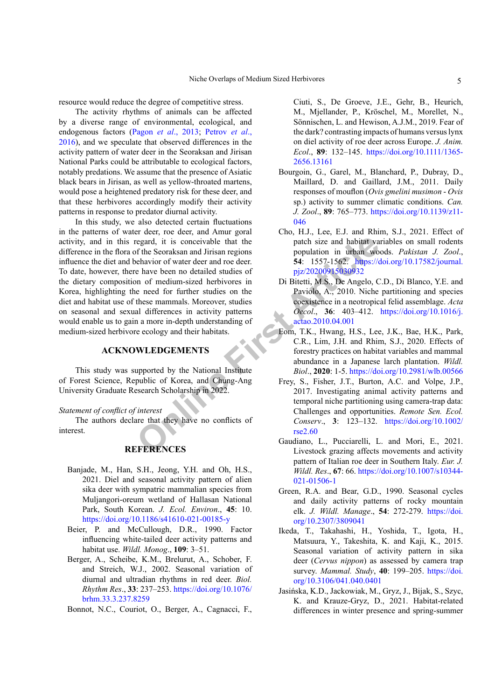resource would reduce the degree of competitive stress.

The activity rhythms of animals can be affected by a diverse range of environmental, ecological, and endogenous factors (Pagon *et al*[., 2013](#page-5-14); [Petrov](#page-5-16) *et al*., [2016](#page-5-16)), and we speculate that observed differences in the activity pattern of water deer in the Seoraksan and Jirisan National Parks could be attributable to ecological factors, notably predations. We assume that the presence of Asiatic black bears in Jirisan, as well as yellow-throated martens, would pose a heightened predatory risk for these deer, and that these herbivores accordingly modify their activity patterns in response to predator diurnal activity.

regard, it is conceivable that the<br>
patch size and habitat va<br>
e have been no detailed studies of<br>
the Seoraksan and Jirisan regions<br>
that the patch size and habitat va<br>
pigiz/20200150809332<br>
e have been no detailed studie In this study, we also detected certain fluctuations in the patterns of water deer, roe deer, and Amur goral activity, and in this regard, it is conceivable that the difference in the flora of the Seoraksan and Jirisan regions influence the diet and behavior of water deer and roe deer. To date, however, there have been no detailed studies of the dietary composition of medium-sized herbivores in Korea, highlighting the need for further studies on the diet and habitat use of these mammals. Moreover, studies on seasonal and sexual differences in activity patterns would enable us to gain a more in-depth understanding of medium-sized herbivore ecology and their habitats.

# **ACKNOWLEDGEMENTS**

This study was supported by the National Institute of Forest Science, Republic of Korea, and Chung-Ang University Graduate Research Scholarship in 2022.

*Statement of conflict of interest*

The authors declare that they have no conflicts of interest.

## **REFERENCES**

- <span id="page-4-1"></span>Banjade, M., Han, S.H., Jeong, Y.H. and Oh, H.S., 2021. Diel and seasonal activity pattern of alien sika deer with sympatric mammalian species from Muljangori-oreum wetland of Hallasan National Park, South Korean. *J. Ecol. Environ*., **45**: 10. <https://doi.org/10.1186/s41610-021-00185-y>
- <span id="page-4-7"></span>Beier, P. and McCullough, D.R., 1990. Factor influencing white-tailed deer activity patterns and habitat use. *Wildl. Monog*., **109**: 3–51.
- <span id="page-4-10"></span>Berger, A., Scheibe, K.M., Brelurut, A., Schober, F. and Streich, W.J., 2002. Seasonal variation of diurnal and ultradian rhythms in red deer. *Biol. Rhythm Res*., **33**: 237–253. [https://doi.org/10.1076/](https://doi.org/10.1076/brhm.33.3.237.8259) [brhm.33.3.237.8259](https://doi.org/10.1076/brhm.33.3.237.8259)

<span id="page-4-8"></span>Bonnot, N.C., Couriot, O., Berger, A., Cagnacci, F.,

Ciuti, S., De Groeve, J.E., Gehr, B., Heurich, M., Mjellander, P., Kröschel, M., Morellet, N., Sönnischen, L. and Hewison, A.J.M., 2019. Fear of the dark? contrasting impacts of humans versus lynx on diel activity of roe deer across Europe. *J. Anim. Ecol*., **89**: 132–145. [https://doi.org/10.1111/1365-](https://doi.org/10.1111/1365-2656.13161) [2656.13161](https://doi.org/10.1111/1365-2656.13161)

- <span id="page-4-3"></span>Bourgoin, G., Garel, M., Blanchard, P., Dubray, D., Maillard, D. and Gaillard, J.M., 2011. Daily responses of mouflon (*Ovis gmelini musimon* - *Ovis* sp.) activity to summer climatic conditions. *Can. J. Zool*., **89**: 765–773. [https://doi.org/10.1139/z11-](https://doi.org/10.1139/z11-046) [046](https://doi.org/10.1139/z11-046)
- <span id="page-4-6"></span>Cho, H.J., Lee, E.J. and Rhim, S.J., 2021. Effect of patch size and habitat variables on small rodents population in urban woods. *Pakistan J. Zool*., **54**: 1557-1562. [https://doi.org/10.17582/journal.](https://doi.org/10.17582/journal.pjz/20200915030932) pjz/20200915030932
- <span id="page-4-5"></span>Di Bitetti, M.S., De Angelo, C.D., Di Blanco, Y.E. and Paviolo, A., 2010. Niche partitioning and species coexistence in a neotropical felid assemblage. *Acta Oecol*., **36**: 403–412. [https://doi.org/10.1016/j.](https://doi.org/10.1016/j.actao.2010.04.001) actao.2010.04.001
- <span id="page-4-11"></span>Eom, T.K., Hwang, H.S., Lee, J.K., Bae, H.K., Park, C.R., Lim, J.H. and Rhim, S.J., 2020. Effects of forestry practices on habitat variables and mammal abundance in a Japanese larch plantation. *Wildl. Biol*., **2020**: 1-5.<https://doi.org/10.2981/wlb.00566>
- <span id="page-4-4"></span>Frey, S., Fisher, J.T., Burton, A.C. and Volpe, J.P., 2017. Investigating animal activity patterns and temporal niche partitioning using camera-trap data: Challenges and opportunities. *Remote Sen. Ecol. Conserv*., **3**: 123–132. [https://doi.org/10.1002/](https://doi.org/10.1002/rse2.60) rse2.60
- <span id="page-4-0"></span>Gaudiano, L., Pucciarelli, L. and Mori, E., 2021. Livestock grazing affects movements and activity pattern of Italian roe deer in Southern Italy. *Eur. J. Wildl. Res*., **67**: 66. [https://doi.org/10.1007/s10344-](https://doi.org/10.1007/s10344-021-01506-1) [021-01506-1](https://doi.org/10.1007/s10344-021-01506-1)
- <span id="page-4-9"></span>Green, R.A. and Bear, G.D., 1990. Seasonal cycles and daily activity patterns of rocky mountain elk. *J. Wildl. Manage*., **54**: 272-279. [https://doi.](https://doi.org/10.2307/3809041) [org/10.2307/3809041](https://doi.org/10.2307/3809041)
- <span id="page-4-2"></span>Ikeda, T., Takahashi, H., Yoshida, T., Igota, H., Matsuura, Y., Takeshita, K. and Kaji, K., 2015. Seasonal variation of activity pattern in sika deer (*Cervus nippon*) as assessed by camera trap survey. *Mammal. Study*, **40**: 199–205. [https://doi.](https://doi.org/10.3106/041.040.0401) [org/10.3106/041.040.0401](https://doi.org/10.3106/041.040.0401)
- Jasińska, K.D., Jackowiak, M., Gryz, J., Bijak, S., Szyc, K. and Krauze-Gryz, D., 2021. Habitat-related differences in winter presence and spring-summer